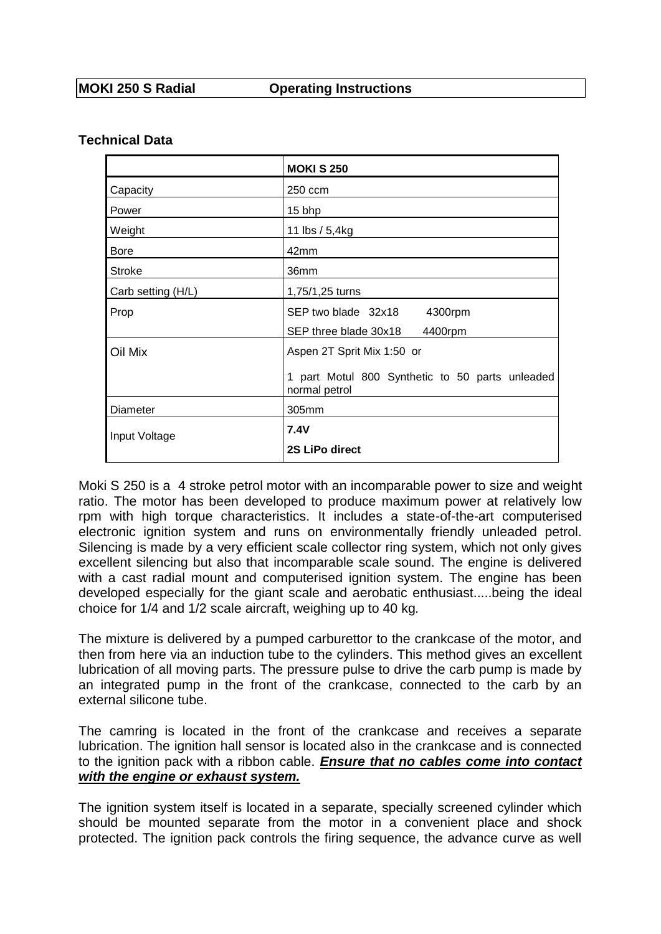### **Technical Data**

|                    | <b>MOKI S 250</b>                                                |
|--------------------|------------------------------------------------------------------|
| Capacity           | 250 ccm                                                          |
| Power              | 15 bhp                                                           |
| Weight             | 11 lbs / 5,4kg                                                   |
| <b>Bore</b>        | 42mm                                                             |
| <b>Stroke</b>      | 36mm                                                             |
| Carb setting (H/L) | 1,75/1,25 turns                                                  |
| Prop               | SEP two blade 32x18<br>4300rpm                                   |
|                    | SEP three blade 30x18<br>4400rpm                                 |
| Oil Mix            | Aspen 2T Sprit Mix 1:50 or                                       |
|                    | 1 part Motul 800 Synthetic to 50 parts unleaded<br>normal petrol |
| Diameter           | 305mm                                                            |
| Input Voltage      | <b>7.4V</b>                                                      |
|                    | 2S LiPo direct                                                   |

Moki S 250 is a 4 stroke petrol motor with an incomparable power to size and weight ratio. The motor has been developed to produce maximum power at relatively low rpm with high torque characteristics. It includes a state-of-the-art computerised electronic ignition system and runs on environmentally friendly unleaded petrol. Silencing is made by a very efficient scale collector ring system, which not only gives excellent silencing but also that incomparable scale sound. The engine is delivered with a cast radial mount and computerised ignition system. The engine has been developed especially for the giant scale and aerobatic enthusiast.....being the ideal choice for 1/4 and 1/2 scale aircraft, weighing up to 40 kg*.*

The mixture is delivered by a pumped carburettor to the crankcase of the motor, and then from here via an induction tube to the cylinders. This method gives an excellent lubrication of all moving parts. The pressure pulse to drive the carb pump is made by an integrated pump in the front of the crankcase, connected to the carb by an external silicone tube.

The camring is located in the front of the crankcase and receives a separate lubrication. The ignition hall sensor is located also in the crankcase and is connected to the ignition pack with a ribbon cable. *Ensure that no cables come into contact with the engine or exhaust system.*

The ignition system itself is located in a separate, specially screened cylinder which should be mounted separate from the motor in a convenient place and shock protected. The ignition pack controls the firing sequence, the advance curve as well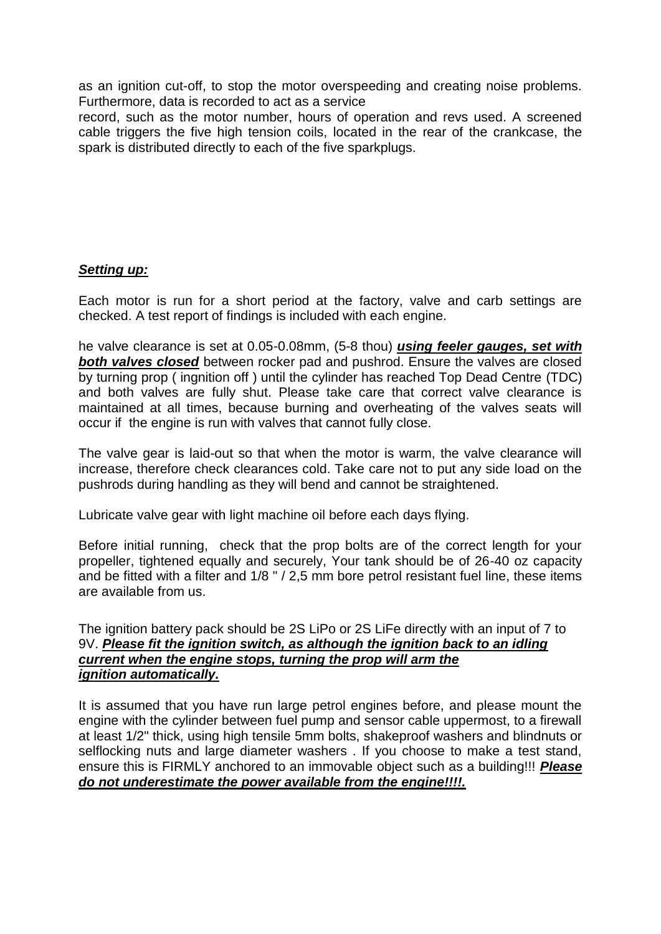as an ignition cut-off, to stop the motor overspeeding and creating noise problems. Furthermore, data is recorded to act as a service

record, such as the motor number, hours of operation and revs used. A screened cable triggers the five high tension coils, located in the rear of the crankcase, the spark is distributed directly to each of the five sparkplugs.

## *Setting up:*

Each motor is run for a short period at the factory, valve and carb settings are checked. A test report of findings is included with each engine.

he valve clearance is set at 0.05-0.08mm, (5-8 thou) *using feeler gauges, set with both valves closed* between rocker pad and pushrod. Ensure the valves are closed by turning prop ( ingnition off ) until the cylinder has reached Top Dead Centre (TDC) and both valves are fully shut. Please take care that correct valve clearance is maintained at all times, because burning and overheating of the valves seats will occur if the engine is run with valves that cannot fully close.

The valve gear is laid-out so that when the motor is warm, the valve clearance will increase, therefore check clearances cold. Take care not to put any side load on the pushrods during handling as they will bend and cannot be straightened.

Lubricate valve gear with light machine oil before each days flying.

Before initial running, check that the prop bolts are of the correct length for your propeller, tightened equally and securely, Your tank should be of 26-40 oz capacity and be fitted with a filter and 1/8 " / 2,5 mm bore petrol resistant fuel line, these items are available from us.

#### The ignition battery pack should be 2S LiPo or 2S LiFe directly with an input of 7 to 9V. *Please fit the ignition switch, as although the ignition back to an idling current when the engine stops, turning the prop will arm the ignition automatically.*

It is assumed that you have run large petrol engines before, and please mount the engine with the cylinder between fuel pump and sensor cable uppermost, to a firewall at least 1/2" thick, using high tensile 5mm bolts, shakeproof washers and blindnuts or selflocking nuts and large diameter washers . If you choose to make a test stand, ensure this is FIRMLY anchored to an immovable object such as a building!!! *Please do not underestimate the power available from the engine!!!!.*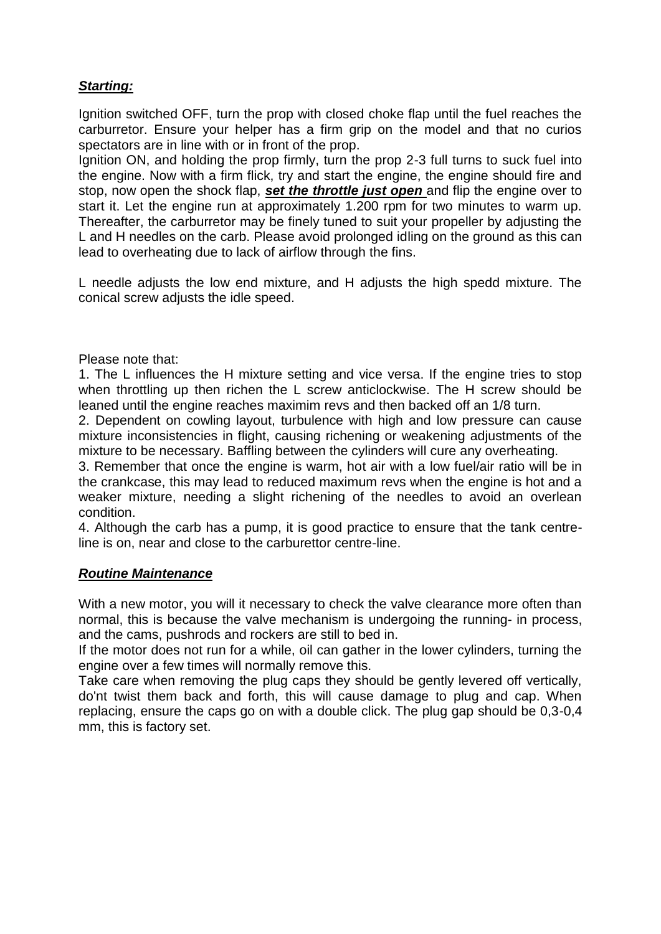# *Starting:*

Ignition switched OFF, turn the prop with closed choke flap until the fuel reaches the carburretor. Ensure your helper has a firm grip on the model and that no curios spectators are in line with or in front of the prop.

Ignition ON, and holding the prop firmly, turn the prop 2-3 full turns to suck fuel into the engine. Now with a firm flick, try and start the engine, the engine should fire and stop, now open the shock flap, *set the throttle just open* and flip the engine over to start it. Let the engine run at approximately 1.200 rpm for two minutes to warm up. Thereafter, the carburretor may be finely tuned to suit your propeller by adjusting the L and H needles on the carb. Please avoid prolonged idling on the ground as this can lead to overheating due to lack of airflow through the fins.

L needle adjusts the low end mixture, and H adjusts the high spedd mixture. The conical screw adjusts the idle speed.

Please note that:

1. The L influences the H mixture setting and vice versa. If the engine tries to stop when throttling up then richen the L screw anticlockwise. The H screw should be leaned until the engine reaches maximim revs and then backed off an 1/8 turn.

2. Dependent on cowling layout, turbulence with high and low pressure can cause mixture inconsistencies in flight, causing richening or weakening adjustments of the mixture to be necessary. Baffling between the cylinders will cure any overheating.

3. Remember that once the engine is warm, hot air with a low fuel/air ratio will be in the crankcase, this may lead to reduced maximum revs when the engine is hot and a weaker mixture, needing a slight richening of the needles to avoid an overlean condition.

4. Although the carb has a pump, it is good practice to ensure that the tank centreline is on, near and close to the carburettor centre-line.

#### *Routine Maintenance*

With a new motor, you will it necessary to check the valve clearance more often than normal, this is because the valve mechanism is undergoing the running- in process, and the cams, pushrods and rockers are still to bed in.

If the motor does not run for a while, oil can gather in the lower cylinders, turning the engine over a few times will normally remove this.

Take care when removing the plug caps they should be gently levered off vertically, do'nt twist them back and forth, this will cause damage to plug and cap. When replacing, ensure the caps go on with a double click. The plug gap should be 0,3-0,4 mm, this is factory set.